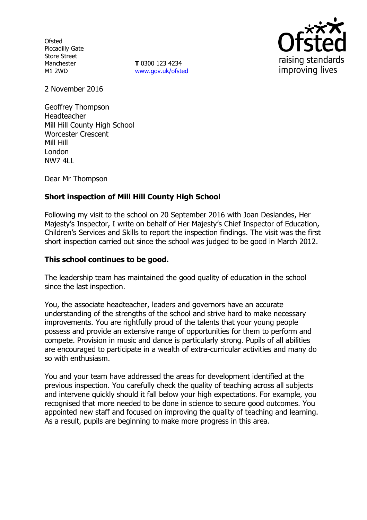**Ofsted** Piccadilly Gate Store Street Manchester M1 2WD

**T** 0300 123 4234 www.gov.uk/ofsted



2 November 2016

Geoffrey Thompson Headteacher Mill Hill County High School Worcester Crescent Mill Hill London NW7 4LL

Dear Mr Thompson

# **Short inspection of Mill Hill County High School**

Following my visit to the school on 20 September 2016 with Joan Deslandes, Her Majesty's Inspector, I write on behalf of Her Majesty's Chief Inspector of Education, Children's Services and Skills to report the inspection findings. The visit was the first short inspection carried out since the school was judged to be good in March 2012.

### **This school continues to be good.**

The leadership team has maintained the good quality of education in the school since the last inspection.

You, the associate headteacher, leaders and governors have an accurate understanding of the strengths of the school and strive hard to make necessary improvements. You are rightfully proud of the talents that your young people possess and provide an extensive range of opportunities for them to perform and compete. Provision in music and dance is particularly strong. Pupils of all abilities are encouraged to participate in a wealth of extra-curricular activities and many do so with enthusiasm.

You and your team have addressed the areas for development identified at the previous inspection. You carefully check the quality of teaching across all subjects and intervene quickly should it fall below your high expectations. For example, you recognised that more needed to be done in science to secure good outcomes. You appointed new staff and focused on improving the quality of teaching and learning. As a result, pupils are beginning to make more progress in this area.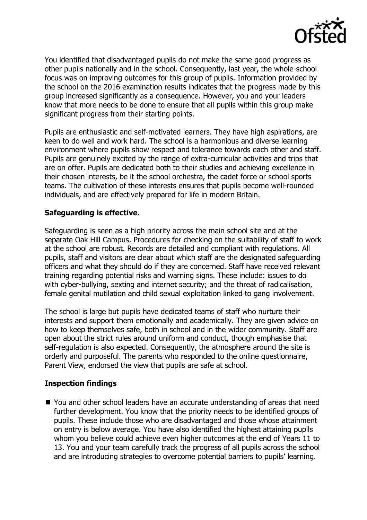

You identified that disadvantaged pupils do not make the same good progress as other pupils nationally and in the school. Consequently, last year, the whole-school focus was on improving outcomes for this group of pupils. Information provided by the school on the 2016 examination results indicates that the progress made by this group increased significantly as a consequence. However, you and your leaders know that more needs to be done to ensure that all pupils within this group make significant progress from their starting points.

Pupils are enthusiastic and self-motivated learners. They have high aspirations, are keen to do well and work hard. The school is a harmonious and diverse learning environment where pupils show respect and tolerance towards each other and staff. Pupils are genuinely excited by the range of extra-curricular activities and trips that are on offer. Pupils are dedicated both to their studies and achieving excellence in their chosen interests, be it the school orchestra, the cadet force or school sports teams. The cultivation of these interests ensures that pupils become well-rounded individuals, and are effectively prepared for life in modern Britain.

# **Safeguarding is effective.**

Safeguarding is seen as a high priority across the main school site and at the separate Oak Hill Campus. Procedures for checking on the suitability of staff to work at the school are robust. Records are detailed and compliant with regulations. All pupils, staff and visitors are clear about which staff are the designated safeguarding officers and what they should do if they are concerned. Staff have received relevant training regarding potential risks and warning signs. These include: issues to do with cyber-bullying, sexting and internet security; and the threat of radicalisation, female genital mutilation and child sexual exploitation linked to gang involvement.

The school is large but pupils have dedicated teams of staff who nurture their interests and support them emotionally and academically. They are given advice on how to keep themselves safe, both in school and in the wider community. Staff are open about the strict rules around uniform and conduct, though emphasise that self-regulation is also expected. Consequently, the atmosphere around the site is orderly and purposeful. The parents who responded to the online questionnaire, Parent View, endorsed the view that pupils are safe at school.

### **Inspection findings**

■ You and other school leaders have an accurate understanding of areas that need further development. You know that the priority needs to be identified groups of pupils. These include those who are disadvantaged and those whose attainment on entry is below average. You have also identified the highest attaining pupils whom you believe could achieve even higher outcomes at the end of Years 11 to 13. You and your team carefully track the progress of all pupils across the school and are introducing strategies to overcome potential barriers to pupils' learning.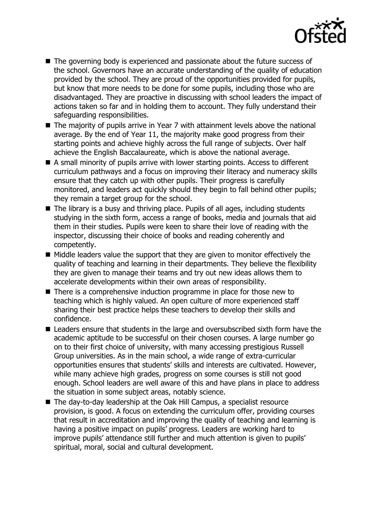

- The governing body is experienced and passionate about the future success of the school. Governors have an accurate understanding of the quality of education provided by the school. They are proud of the opportunities provided for pupils, but know that more needs to be done for some pupils, including those who are disadvantaged. They are proactive in discussing with school leaders the impact of actions taken so far and in holding them to account. They fully understand their safeguarding responsibilities.
- The majority of pupils arrive in Year 7 with attainment levels above the national average. By the end of Year 11, the majority make good progress from their starting points and achieve highly across the full range of subjects. Over half achieve the English Baccalaureate, which is above the national average.
- A small minority of pupils arrive with lower starting points. Access to different curriculum pathways and a focus on improving their literacy and numeracy skills ensure that they catch up with other pupils. Their progress is carefully monitored, and leaders act quickly should they begin to fall behind other pupils; they remain a target group for the school.
- $\blacksquare$  The library is a busy and thriving place. Pupils of all ages, including students studying in the sixth form, access a range of books, media and journals that aid them in their studies. Pupils were keen to share their love of reading with the inspector, discussing their choice of books and reading coherently and competently.
- $\blacksquare$  Middle leaders value the support that they are given to monitor effectively the quality of teaching and learning in their departments. They believe the flexibility they are given to manage their teams and try out new ideas allows them to accelerate developments within their own areas of responsibility.
- There is a comprehensive induction programme in place for those new to teaching which is highly valued. An open culture of more experienced staff sharing their best practice helps these teachers to develop their skills and confidence.
- Leaders ensure that students in the large and oversubscribed sixth form have the academic aptitude to be successful on their chosen courses. A large number go on to their first choice of university, with many accessing prestigious Russell Group universities. As in the main school, a wide range of extra-curricular opportunities ensures that students' skills and interests are cultivated. However, while many achieve high grades, progress on some courses is still not good enough. School leaders are well aware of this and have plans in place to address the situation in some subject areas, notably science.
- The day-to-day leadership at the Oak Hill Campus, a specialist resource provision, is good. A focus on extending the curriculum offer, providing courses that result in accreditation and improving the quality of teaching and learning is having a positive impact on pupils' progress. Leaders are working hard to improve pupils' attendance still further and much attention is given to pupils' spiritual, moral, social and cultural development.